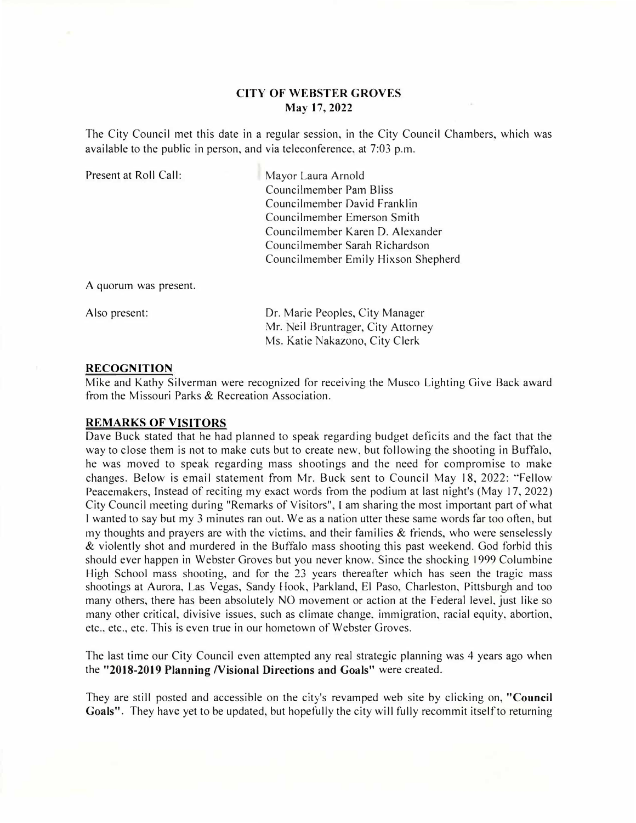### **CITY OF WEBSTER GROVES May 17, 2022**

The City Council met this date in a regular session, in the City Council Chambers, which was available to the public in person, and via teleconference, at 7:03 p.m.

| Present at Roll Call: | Mayor Laura Arnold                  |
|-----------------------|-------------------------------------|
|                       | Councilmember Pam Bliss             |
|                       | Councilmember David Franklin        |
|                       | Councilmember Emerson Smith         |
|                       | Councilmember Karen D. Alexander    |
|                       | Councilmember Sarah Richardson      |
|                       | Councilmember Emily Hixson Shepherd |
|                       |                                     |

A quorum was present.

Also present:

Dr. Marie Peoples, City Manager Mr. Neil Bruntrager, City Attorney Ms. Katie Nakazono, City Clerk

#### **RECOGNITION**

Mike and Kathy Silverman were recognized for receiving the Musco Lighting Give Back award from the Missouri Parks & Recreation Association.

### **REMARKS OF VISITORS**

Dave Buck stated that he had planned to speak regarding budget deficits and the fact that the way to close them is not to make cuts but to create new, but following the shooting in Buffalo, he was moved to speak regarding mass shootings and the need for compromise to make changes. Below is email statement from Mr. Buck sent to Council May 18, 2022: "Fellow Peacemakers, Instead of reciting my exact words from the podium at last night's (May 17, 2022) City Council meeting during "Remarks of Visitors", I am sharing the most important part of what I wanted to say but my 3 minutes ran out. We as a nation utter these same words far too often, but my thoughts and prayers are with the victims, and their families  $\&$  friends, who were senselessly & violently shot and murdered in the Buffalo mass shooting this past weekend. God forbid this should ever happen in Webster Groves but you never know. Since the shocking 1999 Columbine High School mass shooting, and for the 23 years thereafter which has seen the tragic mass shootings at Aurora, Las Vegas, Sandy Hook, Parkland, El Paso, Charleston, Pittsburgh and too many others, there has been absolutely NO movement or action at the Federal level, just like so many other critical, divisive issues, such as climate change, immigration, racial equity, abortion, etc., etc., etc. This is even true in our hometown of Webster Groves.

The last time our City Council even attempted any real strategic planning was 4 years ago when the **"2018-2019 Planning Nisional Directions and Goals"** were created.

They are still posted and accessible on the city's revamped web site by clicking on, **"Council Goals".** They have yet to be updated, but hopefully the city will fully recommit itself to returning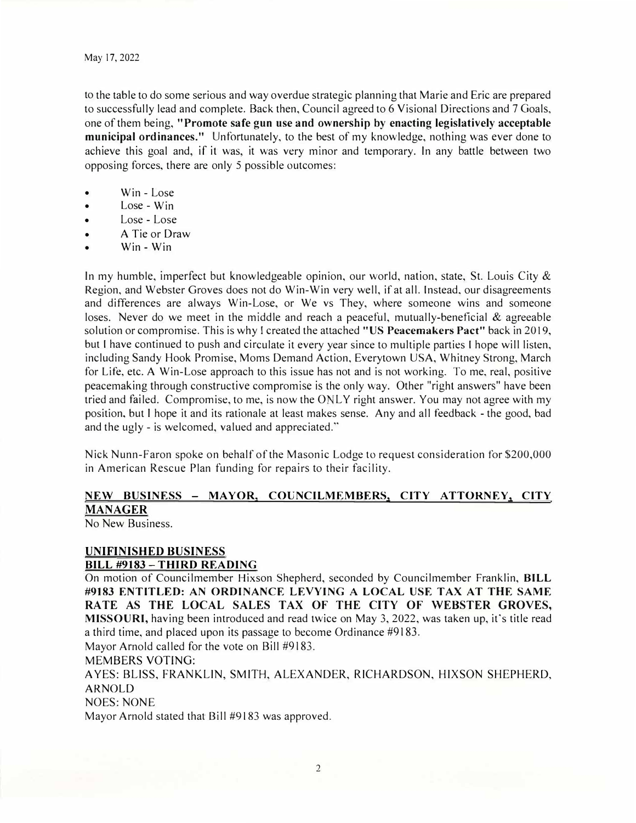to the table to do some serious and way overdue strategic planning that Marie and Eric are prepared to successfully lead and complete. Back then, Council agreed to 6 Visional Directions and 7 Goals, one of them being, **"Promote safe gun use and ownership by enacting legislatively acceptable municipal ordinances."** Unfortunately, to the best of my knowledge, nothing was ever done to achieve this goal and, if it was, it was very minor and temporary. In any battle between two opposing forces, there are only 5 possible outcomes:

- Win Lose
- Lose Win
- Lose Lose
- A Tie or Draw
- Win Win

In my humble, imperfect but knowledgeable opinion, our world, nation, state, St. Louis City  $\&$ Region, and Webster Groves does not do Win-Win very well, if at all. Instead, our disagreements and differences are always Win-Lose, or We vs They, where someone wins and someone loses. Never do we meet in the middle and reach a peaceful, mutually-beneficial  $\&$  agreeable solution or compromise. This is why I created the attached "US Peacemakers Pact" back in 2019, but I have continued to push and circulate it every year since to multiple parties I hope will listen, including Sandy Hook Promise, Moms Demand Action, Everytown USA, Whitney Strong, March for Life, etc. A Win-Lose approach to this issue has not and is not working. To me, real, positive peacemaking through constructive compromise is the only way. Other "right answers" have been tried and failed. Compromise, to me, is now the ONLY right answer. You may not agree with my position, but I hope it and its rationale at least makes sense. Any and all feedback - the good, bad and the ugly - is welcomed, valued and appreciated."

Nick Nunn-Faron spoke on behalf of the Masonic Lodge to request consideration for \$200,000 in American Rescue Plan funding for repairs to their facility.

# **NEW BUSINESS - MAYOR, COUNCILMEMBERS, CITY ATTORNEY, CITY MANAGER**

No New Business.

### **UNIFINISHED BUSINESS**

### **BILL #9183 - TffiRD READING**

On motion of Councilmember Hixson Shepherd, seconded by Councilmember Franklin, **BILL #9183 ENTITLED: AN ORDINANCE LEVYING A LOCAL USE TAX AT THE SAME**  RATE AS THE LOCAL SALES TAX OF THE CITY OF WEBSTER GROVES, **MISSOURI,** having been introduced and read twice on May 3, 2022, was taken up, it's title read a third time, and placed upon its passage to become Ordinance #9183.

Mayor Arnold called for the vote on Bill #9183.

MEMBERS VOTING:

A YES: BLISS, FRANKLIN, SMITH, ALEXANDER, RICHARDSON, HIXSON SHEPHERD, ARNOLD

NOES: NONE

Mayor Arnold stated that Bill #9183 was approved.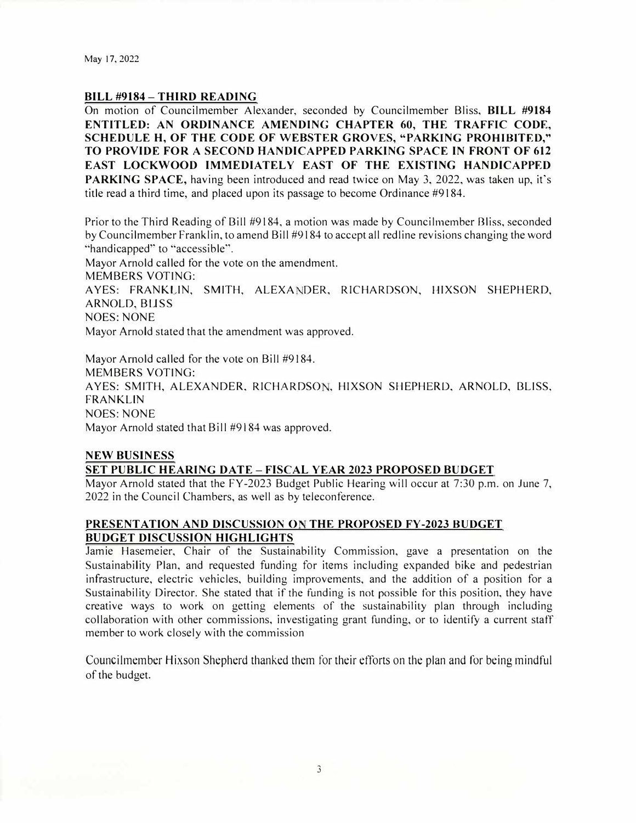May 17, 2022

#### **BILL #9184 - THIRD READING**

On motion of Councilmember Alexander, seconded by Councilmember Bliss, **BILL #9184 ENTITLED: AN ORDINANCE AMENDING CHAPTER 60, THE TRAFFIC CODE, SCHEDULE H, OF THE CODE OF WEBSTER GROVES, "PARKING PROHIBITED," TO PROVIDE FOR A SECOND HANDICAPPED PARKING SPACE IN FRONT OF 612 EAST LOCKWOOD IMMEDIATELY EAST OF THE EXISTING HANDICAPPED PARKING SPACE,** having been introduced and read twice on May 3, 2022, was taken up, it's title read a third time, and placed upon its passage to become Ordinance #9184.

Prior to the Third Reading of Bill #9184, a motion was made by Councilmember Bliss, seconded by Councilmember Franklin, to amend Bill #9184 to accept all red line revisions changing the word "handicapped" to "accessible".

Mayor Arnold called for the vote on the amendment. MEMBERS VOTING: AYES: FRANKLIN, SMITH, ALEXANDER, RICHARDSON, HIXSON SHEPHERD, ARNOLD, BLISS NOES: NONE Mayor Arnold stated that the amendment was approved.

Mayor Arnold called for the vote on Bill #9184. MEMBERS VOTING: AYES: SMITH, ALEXANDER, RICHARDSON, HIXSON SHEPHERD, ARNOLD, BLISS, FRANKLIN NOES: NONE Mayor Arnold stated that Bill #9184 was approved.

#### **NEW BUSINESS**

### **SET PUBLIC HEARING DATE - FISCAL YEAR 2023 PROPOSED BUDGET**

Mayor Arnold stated that the FY-2023 Budget Public Hearing will occur at 7:30 p.m. on June 7, 2022 in the Council Chambers, as well as by teleconference.

### **PRESENTATION AND DISCUSSION ON THE PROPOSED FY-2023 BUDGET BUDGET DISCUSSION HIGHLIGHTS**

Jamie Hasemeier, Chair of the Sustainability Commission, gave a presentation on the Sustainability Plan, and requested funding for items including expanded bike and pedestrian infrastructure, electric vehicles, building improvements, and the addition of a position for a Sustainability Director. She stated that if the funding is not possible for this position, they have creative ways to work on getting elements of the sustainability plan through including collaboration with other commissions, investigating grant funding, or to identify a current staff member to work closely with the commission

Councilmember Hixson Shepherd thanked them for their efforts on the plan and for being mindful of the budget.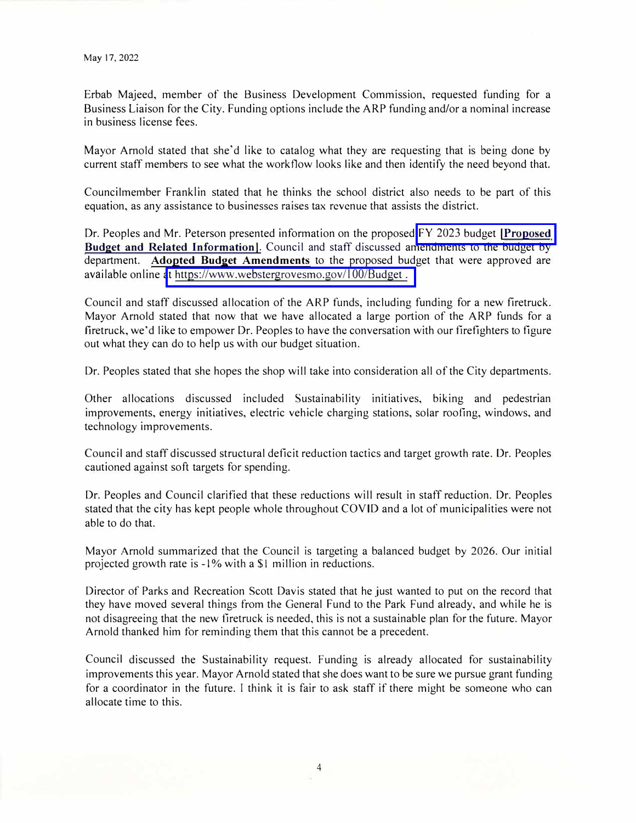Erbab Majeed, member of the Business Development Commission, requested funding for a Business Liaison for the City. Funding options include the ARP funding and/or a nominal increase in business license fees.

Mayor Arnold stated that she'd like to catalog what they are requesting that is being done by current staff members to see what the workflow looks like and then identify the need beyond that.

Councilmember Franklin stated that he thinks the school district also needs to be part of this equation, as any assistance to businesses raises tax revenue that assists the district.

Dr. Peoples and Mr. Peterson presented information on the proposed [FY 2023 budget](https://www.webstergrovesmo.gov/100/Budget) **!Proposed Budget and Related Information].** Council and staff discussed amendments to the budget by department. **Adopted Budget Amendments** to the proposed budget that were approved are available online [at https://www.webstergrovesmo.gov/l 00/Budget](https://www.webstergrovesmo.gov/100/Budget) .

Council and staff discussed allocation of the ARP funds, including funding for a new firetruck. Mayor Arnold stated that now that we have allocated a large portion of the ARP funds for a firetruck, we'd like to empower Dr. Peoples to have the conversation with our firefighters to figure out what they can do to help us with our budget situation.

Dr. Peoples stated that she hopes the shop will take into consideration all of the City departments.

Other allocations discussed included Sustainability initiatives, biking and pedestrian improvements, energy initiatives, electric vehicle charging stations, solar roofing, windows, and technology improvements.

Council and staff discussed structural deficit reduction tactics and target growth rate. Dr. Peoples cautioned against soft targets for spending.

Dr. Peoples and Council clarified that these reductions will result in staff reduction. Dr. Peoples stated that the city has kept people whole throughout COYID and a lot of municipalities were not able to do that.

Mayor Arnold summarized that the Council is targeting a balanced budget by 2026. Our initial projected growth rate is -1% with a \$1 million in reductions.

Director of Parks and Recreation Scott Davis stated that he just wanted to put on the record that they have moved several things from the General Fund to the Park Fund already, and while he is not disagreeing that the new firetruck is needed, this is not a sustainable plan for the future. Mayor Arnold thanked him for reminding them that this cannot be a precedent.

Council discussed the Sustainability request. Funding is already allocated for sustainability improvements this year. Mayor Arnold stated that she does want to be sure we pursue grant funding for a coordinator in the future. I think it is fair to ask staff if there might be someone who can allocate time to this.

4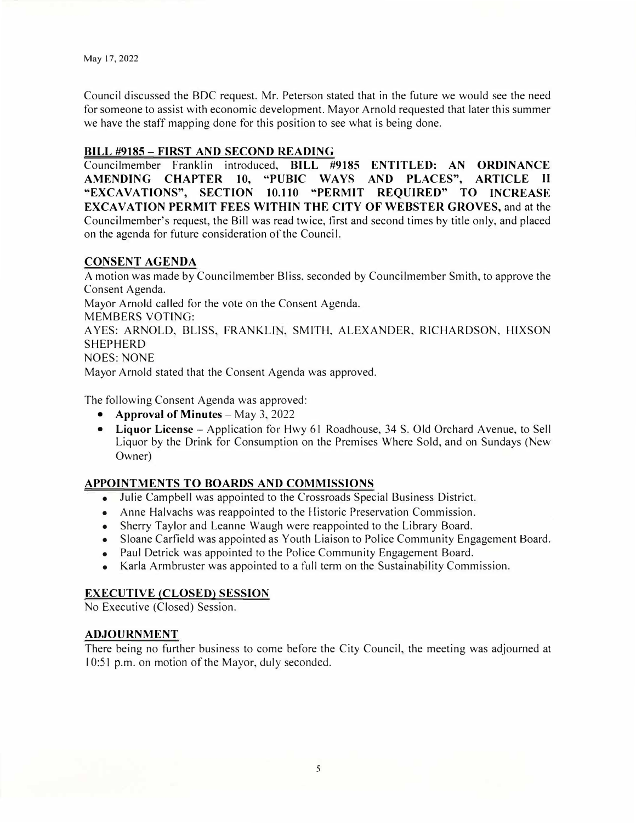Council discussed the BOC request. Mr. Peterson stated that in the future we would see the need for someone to assist with economic development. Mayor Arnold requested that later this summer we have the staff mapping done for this position to see what is being done.

## **BILL #9185 - FIRST AND SECOND READING**

Councilmember Franklin introduced, **BILL #9185 ENTITLED: AN ORDINANCE AMENDING CHAPTER 10, "PUBIC WAYS AND PLACES", ARTICLE** II **"EXCAVATIONS", SECTION 10.110 "PERMIT REQUIRED" TO INCREASE EXCAVATION PERMIT FEES WITillN THE CITY OF WEBSTER GROVES,** and at the Councilmember's request, the Bill was read twice, first and second times by title only, and placed on the agenda for future consideration of the Council.

### **CONSENT AGENDA**

A motion was made by Councilmember Bliss, seconded by Councilmember Smith, to approve the Consent Agenda. Mayor Arnold called for the vote on the Consent Agenda. MEMBERS VOTING: AYES: ARNOLD, BLISS, FRANKLIN, SMITH, ALEXANDER, RICHARDSON, HIXSON SHEPHERD NOES:NONE Mayor Arnold stated that the Consent Agenda was approved.

The following Consent Agenda was approved:

- **Approval of Minutes** May 3, 2022
- **• Liquor License -** Application for Hwy 61 Roadhouse, 34 S. Old Orchard Avenue, to Sell Liquor by the Drink for Consumption on the Premises Where Sold, and on Sundays (New Owner)

# **APPOINTMENTS TO BOARDS AND COMMISSIONS**

- Julie Campbell was appointed to the Crossroads Special Business District.
- •Anne Halvachs was reappointed to the Historic Preservation Commission.
- Sherry Taylor and Leanne Waugh were reappointed to the Library Board.
- •Sloane Carfield was appointed as Youth Liaison to Police Community Engagement Board.
- •Paul Detrick was appointed to the Police Community Engagement Board.
- •Karla Armbruster was appointed to a full term on the Sustainability Commission.

# **EXECUTIVE (CLOSED) SESSION**

No Executive (Closed) Session.

### **ADJOURNMENT**

There being no further business to come before the City Council, the meeting was adjourned at 10:51 p.m. on motion of the Mayor, duly seconded.